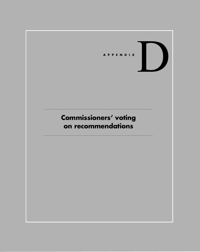

# **Commissioners' voting on recommendations**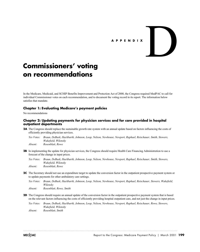# **APPENDIX**

D

# **Commissioners' voting on recommendations**

In the Medicare, Medicaid, and SCHIP Benefits Improvement and Protection Act of 2000, the Congress required MedPAC to call for individual Commissioner votes on each recommendation, and to document the voting record in its report. The information below satisfies that mandate.

# **Chapter 1: Evaluating Medicare's payment policies**

No recommendations

# **Chapter 2: Updating payments for physician services and for care provided in hospital outpatient departments**

**2A** The Congress should replace the sustainable growth rate system with an annual update based on factors influencing the costs of efficiently providing physician services.

*Yes Votes: Braun, DeBusk, Hackbarth, Johnson, Loop, Nelson, Newhouse, Newport, Raphael, Reischauer, Smith, Stowers, Wakefield, Wilensky Absent: Rosenblatt, Rowe*

**2B** In implementing the update for physician services, the Congress should require Health Care Financing Administration to use a forecast of the change in input prices.

*Yes Votes: Braun, DeBusk, Hackbarth, Johnson, Loop, Nelson, Newhouse, Newport, Raphael, Reischauer, Smith, Stowers, Wakefield, Wilensky Absent: Rosenblatt, Rowe*

- **2C** The Secretary should not use an expenditure target to update the conversion factor in the outpatient prospective payment system or to update payments for other ambulatory care settings.
	- *Yes Votes: Braun, DeBusk, Hackbarth, Johnson, Loop, Nelson, Newhouse, Newport, Raphael, Reischauer, Stowers, Wakefield, Wilensky*
	- *Absent: Rosenblatt, Rowe, Smith*
- **2D** The Congress should require an annual update of the conversion factor in the outpatient prospective payment system that is based on the relevant factors influencing the costs of efficiently providing hospital outpatient care, and not just the change in input prices.

*Yes Votes: Braun, DeBusk, Hackbarth, Johnson, Loop, Nelson, Newhouse, Newport, Raphael, Reischauer, Rowe, Stowers, Wakefield, Wilensky*

*Absent: Rosenblatt, Smith*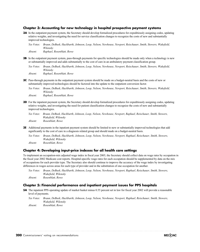# **Chapter 3: Accounting for new technology in hospital prospective payment systems**

- **3A** In the outpatient payment system, the Secretary should develop formalized procedures for expeditiously assigning codes, updating relative weights, and investigating the need for service classification changes to recognize the costs of new and substantially improved technologies.
	- *Yes Votes: Braun, DeBusk, Hackbarth, Johnson, Loop, Nelson, Newhouse, Newport, Reischauer, Smith, Stowers, Wakefield, Wilensky*

*Absent: Raphael, Rosenblatt, Rowe*

- **3B** In the outpatient payment system, pass-through payments for specific technologies should be made only when a technology is new or substantially improved and adds substantially to the cost of care in an ambulatory payment classification group.
	- *Yes Votes: Braun, DeBusk, Hackbarth, Johnson, Loop, Nelson, Newhouse, Newport, Reischauer, Smith, Stowers, Wakefield, Wilensky*

*Absent: Raphael, Rosenblatt, Rowe*

- **3C** Pass-through payments in the outpatient payment system should be made on a budget-neutral basis and the costs of new or substantially improved technologies should be factored into the update to the outpatient conversion factor.
	- *Yes Votes: Braun, DeBusk, Hackbarth, Johnson, Loop, Nelson, Newhouse, Newport, Reischauer, Smith, Stowers, Wakefield, Wilensky*

*Absent: Raphael, Rosenblatt, Rowe*

- **3D** For the inpatient payment system, the Secretary should develop formalized procedures for expeditiously assigning codes, updating relative weights, and investigating the need for patient classification changes to recognize the costs of new and substantially improved technologies.
	- *Yes Votes: Braun, DeBusk, Hackbarth, Johnson, Loop, Nelson, Newhouse, Newport, Raphael, Reischauer, Smith, Stowers, Wakefield, Wilensky*
	- *Absent: Rosenblatt, Rowe*
- **3E** Additional payments in the inpatient payment system should be limited to new or substantially improved technologies that add significantly to the cost of care in a diagnosis related group and should made on a budget-neutral basis.
	- *Yes Votes: Braun, DeBusk, Hackbarth, Johnson, Loop, Nelson, Newhouse, Newport, Raphael, Reischauer, Smith, Stowers, Wakefield, Wilensky Absent: Rosenblatt, Rowe*

#### **Chapter 4: Developing input-price indexes for all health care settings**

the fiscal year 2002 Medicare cost reports. Hospital-specific wage rates for each occupation should be supplemented by data on the mix of occupations for each provider type. The Secretary also should continue to improve the accuracy of the wage index by investigating differences in wages across areas for each type of provider and in the substitution of one occupation for another. To implement an occupation-mix adjusted wage index in fiscal year 2005, the Secretary should collect data on wage rates by occupation in

*Yes Votes: Braun, DeBusk, Hackbarth, Johnson, Loop, Nelson, Newhouse, Newport, Raphael, Reischauer, Smith, Stowers, Wakefield, Wilensky Absent: Rosenblatt, Rowe*

# **Chapter 5: Financial performance and inpatient payment issues for PPS hospitals**

- **5A** The inpatient PPS operating update of market basket minus 0.55 percent set in law for fiscal year 2002 will provide a reasonable level of payments.
	- *Yes Votes: Braun, DeBusk, Hackbarth, Johnson, Loop, Nelson, Newhouse, Newport, Raphael, Reischauer, Smith, Stowers, Wakefield, Wilensky*

*Absent: Rosenblatt, Rowe*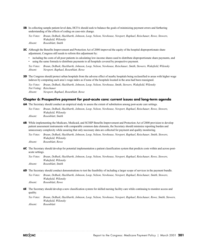**5B** In collecting sample patient-level data, HCFA should seek to balance the goals of minimizing payment errors and furthering understanding of the effects of coding on case-mix change.

*Yes Votes: Braun, DeBusk, Hackbarth, Johnson, Loop, Nelson, Newhouse, Newport, Raphael, Reischauer, Rowe, Stowers, Wakefield, Wilensky Absent: Rosenblatt, Smith*

- **5C** Although the Benefits Improvement and Protection Act of 2000 improved the equity of the hospital disproportionate share adjustment, Congress still needs to reform this adjustment by:
	- including the costs of all poor patients in calculating low-income shares used to distribute disproportionate share payments, and
	- using the same formula to distribute payments to all hospitals covered by prospective payment.

*Yes Votes: Braun, DeBusk, Hackbarth, Johnson, Loop, Nelson, Newhouse, Reischauer, Smith, Stowers, Wakefield, Wilensky Absent: Newport, Raphael, Rosenblatt, Rowe*

**5D** The Congress should protect urban hospitals from the adverse effect of nearby hospitals being reclassified to areas with higher wage indexes by computing each area's wage index as if none of the hospitals located in the area had been reassigned.

*Yes Votes: Braun, DeBusk, Hackbarth, Johnson, Loop, Nelson, Newhouse, Smith, Stowers, Wakefield, Wilensky Not Voting: Reischauer Absent: Newport, Raphael, Rosenblatt, Rowe* 

#### **Chapter 6: Prospective payment for post-acute care: current issues and long-term agenda**

**6A** The Secretary should conduct an empirical study to assess the extent of substitution among post-acute care settings.

*Yes Votes: Braun, DeBusk, Hackbarth, Johnson, Loop, Nelson, Newhouse, Newport, Raphael, Reischauer, Rowe, Stowers, Wakefield, Wilensky*

*Absent: Rosenblatt, Smith*

**6B** While implementing the Medicare, Medicaid, and SCHIP Benefits Improvement and Protection Act of 2000 provision to develop patient assessment instruments with comparable common data elements, the Secretary should minimize reporting burden and unnecessary complexity while assuring that only necessary data are collected for payment and quality monitoring.

*Yes Votes: Braun, DeBusk, Hackbarth, Johnson, Loop, Nelson, Newhouse, Newport, Raphael, Reischauer, Smith, Stowers, Wakefield, Wilensky Absent: Rosenblatt, Rowe*

**6C** The Secretary should develop for potential implementation a patient classification system that predicts costs within and across postacute settings.

*Yes Votes: Braun, DeBusk, Hackbarth, Johnson, Loop, Nelson, Newhouse, Newport, Raphael, Reischauer, Rowe, Stowers, Wakefield, Wilensky*

*Absent: Rosenblatt, Smith*

**6D** The Secretary should conduct demonstrations to test the feasibility of including a larger scope of services in the payment bundle.

*Yes Votes: Braun, DeBusk, Hackbarth, Johnson, Loop, Nelson, Newhouse, Newport, Raphael, Reischauer, Smith, Stowers, Wakefield, Wilensky Absent: Rosenblatt, Rowe*

**6E** The Secretary should develop a new classification system for skilled nursing facility care while continuing to monitor access and quality.

*Yes Votes: Braun, DeBusk, Hackbarth, Johnson, Loop, Nelson, Newhouse, Newport, Raphael, Reischauer, Rowe, Smith, Stowers, Wakefield, Wilensky Absent: Rosenblatt*

MECOAC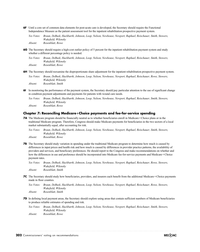**6F** Until a core set of common data elements for post-acute care is developed, the Secretary should require the Functional Independence Measure as the patient assessment tool for the inpatient rehabilitation prospective payment system.

*Yes Votes: Braun, DeBusk, Hackbarth, Johnson, Loop, Nelson, Newhouse, Newport, Raphael, Reischauer, Smith, Stowers, Wakefield, Wilensky*

*Absent: Rosenblatt, Rowe*

- whether a different percentage policy is needed. **6G** The Secretary should require a high-cost outlier policy of 5 percent for the inpatient rehabilitation payment system and study
	- *Yes Votes: Braun, DeBusk, Hackbarth, Johnson, Loop, Nelson, Newhouse, Newport, Raphael, Reischauer, Smith, Stowers, Wakefield, Wilensky Absent: Rosenblatt, Rowe*
- **6H** The Secretary should reexamine the disproportionate share adjustment for the inpatient rehabilitation prospective payment system.

*Yes Votes: Braun, DeBusk, Hackbarth, Johnson, Loop, Nelson, Newhouse, Newport, Raphael, Reischauer, Rowe, Stowers, Wakefield, Wilensky Absent: Rosenblatt, Smith*

**6I** In monitoring the performance of the payment system, the Secretary should pay particular attention to the use of significant change in condition payment adjustments and payments for patients with wound care needs.

*Yes Votes: Braun, DeBusk, Hackbarth, Johnson, Loop, Nelson, Newhouse, Newport, Raphael, Reischauer, Smith, Stowers, Wakefield, Wilensky Absent: Rosenblatt, Rowe*

## Chapter 7: Reconciling Medicare+Choice payments and fee-for-service spending

- **7A** The Medicare program should be financially neutral as to whether beneficiaries enroll in Medicare+Choice plans or in the traditional Medicare program. Therefore, Congress should make Medicare payments for beneficiaries in the two sectors of a local market substantially equal, after accounting for risk.
	- *Yes Votes: Braun, DeBusk, Hackbarth, Johnson, Loop, Nelson, Newhouse, Newport, Raphael, Reischauer, Smith, Stowers, Wakefield, Wilensky*
	- *Absent: Rosenblatt, Rowe*
- **7B** The Secretary should study variation in spending under the traditional Medicare program to determine how much is caused by differences in input prices and health risk and how much is caused by differences in provider practice patterns, the availability of providers and services, and beneficiary preferences. He should report to the Congress and make recommendations on whether and how the differences in use and preference should be incorporated into Medicare fee-for-service payments and Medicare + Choice payment rates.
	- *Yes Votes: Braun, DeBusk, Hackbarth, Johnson, Loop, Nelson, Newhouse, Newport, Raphael, Reischauer, Rowe, Stowers, Wakefield, Wilensky Absent: Rosenblatt, Smith*
- **7C** The Secretary should study how beneficiaries, providers, and insurers each benefit from the additional Medicare + Choice payments made in floor counties.

*Yes Votes: Braun, DeBusk, Hackbarth, Johnson, Loop, Nelson, Newhouse, Newport, Raphael, Reischauer, Rowe, Stowers, Wakefield, Wilensky Absent: Rosenblatt, Smith*

**7D** In defining local payment areas, the Secretary should explore using areas that contain sufficient numbers of Medicare beneficiaries to produce reliable estimates of spending and risk.

*Yes Votes: Braun, DeBusk, Hackbarth, Johnson, Loop, Nelson, Newhouse, Newport, Raphael, Reischauer, Smith, Stowers, Wakefield, Wilensky Absent: Rosenblatt, Rowe*